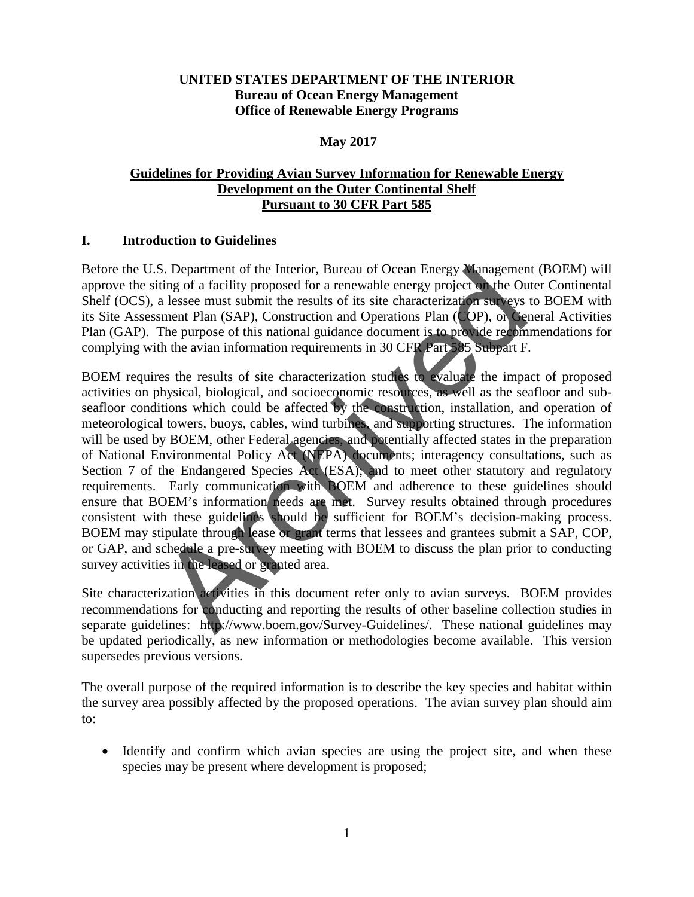## **UNITED STATES DEPARTMENT OF THE INTERIOR Bureau of Ocean Energy Management Office of Renewable Energy Programs**

### **May 2017**

## **Guidelines for Providing Avian Survey Information for Renewable Energy Development on the Outer Continental Shelf Pursuant to 30 CFR Part 585**

### **I. Introduction to Guidelines**

Before the U.S. Department of the Interior, Bureau of Ocean Energy Management (BOEM) will approve the siting of a facility proposed for a renewable energy project on the Outer Continental Shelf (OCS), a lessee must submit the results of its site characterization surveys to BOEM with its Site Assessment Plan (SAP), Construction and Operations Plan (COP), or General Activities Plan (GAP). The purpose of this national guidance document is to provide recommendations for complying with the avian information requirements in 30 CFR Part 585 Subpart F.

BOEM requires the results of site characterization studies to evaluate the impact of proposed activities on physical, biological, and socioeconomic resources, as well as the seafloor and subseafloor conditions which could be affected by the construction, installation, and operation of meteorological towers, buoys, cables, wind turbines, and supporting structures. The information will be used by BOEM, other Federal agencies, and potentially affected states in the preparation of National Environmental Policy Act (NEPA) documents; interagency consultations, such as Section 7 of the Endangered Species Act (ESA), and to meet other statutory and regulatory requirements. Early communication with BOEM and adherence to these guidelines should ensure that BOEM's information needs are met. Survey results obtained through procedures consistent with these guidelines should be sufficient for BOEM's decision-making process. BOEM may stipulate through lease or grant terms that lessees and grantees submit a SAP, COP, or GAP, and schedule a pre-survey meeting with BOEM to discuss the plan prior to conducting survey activities in the leased or granted area. S. Department of the Interior, Bureau of Ocean Energy Wanagement<br>
it ing of a facility proposed for a renewable energy project on the Ou<br>
a lessee must submit the results of its site characterization subvex<br>
ansert Plan (

Site characterization activities in this document refer only to avian surveys. BOEM provides recommendations for conducting and reporting the results of other baseline collection studies in separate guidelines: http://www.boem.gov/Survey-Guidelines/. These national guidelines may be updated periodically, as new information or methodologies become available. This version supersedes previous versions.

The overall purpose of the required information is to describe the key species and habitat within the survey area possibly affected by the proposed operations. The avian survey plan should aim to:

• Identify and confirm which avian species are using the project site, and when these species may be present where development is proposed;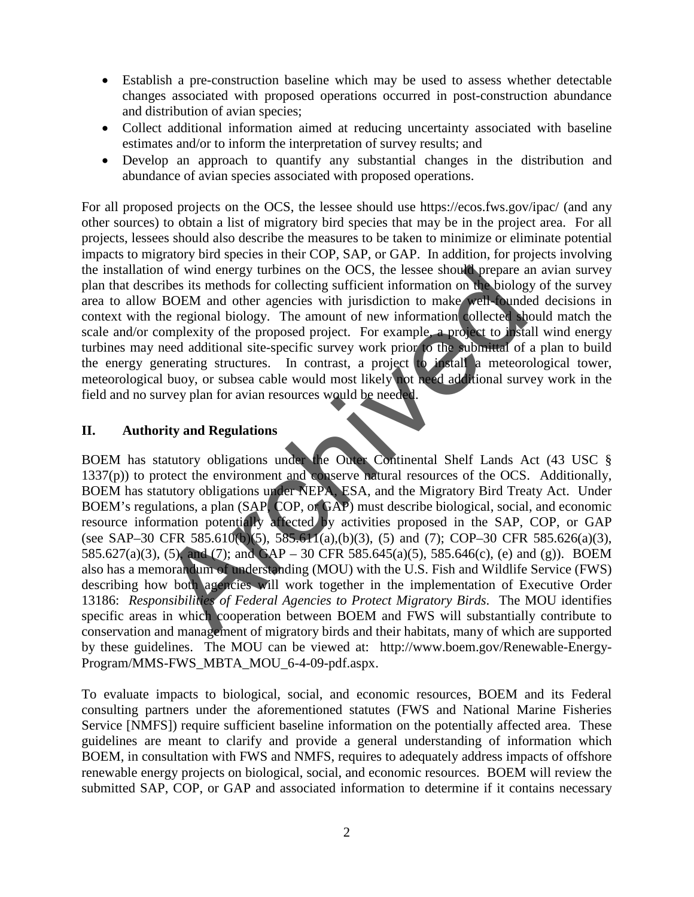- Establish a pre-construction baseline which may be used to assess whether detectable changes associated with proposed operations occurred in post-construction abundance and distribution of avian species;
- Collect additional information aimed at reducing uncertainty associated with baseline estimates and/or to inform the interpretation of survey results; and
- Develop an approach to quantify any substantial changes in the distribution and abundance of avian species associated with proposed operations.

For all proposed projects on the OCS, the lessee should use<https://ecos.fws.gov/ipac/>(and any other sources) to obtain a list of migratory bird species that may be in the project area. For all projects, lessees should also describe the measures to be taken to minimize or eliminate potential impacts to migratory bird species in their COP, SAP, or GAP. In addition, for projects involving the installation of wind energy turbines on the OCS, the lessee should prepare an avian survey plan that describes its methods for collecting sufficient information on the biology of the survey area to allow BOEM and other agencies with jurisdiction to make well-founded decisions in context with the regional biology. The amount of new information collected should match the scale and/or complexity of the proposed project. For example, a project to install wind energy turbines may need additional site-specific survey work prior to the submittal of a plan to build the energy generating structures. In contrast, a project to install a meteorological tower, meteorological buoy, or subsea cable would most likely not need additional survey work in the field and no survey plan for avian resources would be needed.

## **II. Authority and Regulations**

BOEM has statutory obligations under the Outer Continental Shelf Lands Act (43 USC § 1337(p)) to protect the environment and conserve natural resources of the OCS. Additionally, BOEM has statutory obligations under NEPA, ESA, and the Migratory Bird Treaty Act. Under BOEM's regulations, a plan (SAP, COP, or GAP) must describe biological, social, and economic resource information potentially affected by activities proposed in the SAP, COP, or GAP (see SAP–30 CFR 585.610(b)(5), 585.611(a),(b)(3), (5) and (7); COP–30 CFR 585.626(a)(3), 585.627(a)(3), (5), and (7); and GAP – 30 CFR 585.645(a)(5), 585.646(c), (e) and (g)). BOEM also has a memorandum of understanding (MOU) with the U.S. Fish and Wildlife Service (FWS) describing how both agencies will work together in the implementation of Executive Order 13186: *Responsibilities of Federal Agencies to Protect Migratory Birds*. The MOU identifies specific areas in which cooperation between BOEM and FWS will substantially contribute to conservation and management of migratory birds and their habitats, many of which are supported by these guidelines. The MOU can be viewed at: [http://www.boem.gov/Renewable-Energy-](http://www.boem.gov/Renewable-Energy-Program/MMS-FWS_MBTA_MOU_6-4-09-pdf.aspx)[Program/MMS-FWS\\_MBTA\\_MOU\\_6-4-09-pdf.aspx.](http://www.boem.gov/Renewable-Energy-Program/MMS-FWS_MBTA_MOU_6-4-09-pdf.aspx) n of wind energy turbines on the OCS, the lessee should prepare a<br>ribes its methods for collecting sufficient information on the biology<br>BOEM and other agencies with jurisdiction to make well-biology<br>the regional biology.

To evaluate impacts to biological, social, and economic resources, BOEM and its Federal consulting partners under the aforementioned statutes (FWS and National Marine Fisheries Service [NMFS]) require sufficient baseline information on the potentially affected area. These guidelines are meant to clarify and provide a general understanding of information which BOEM, in consultation with FWS and NMFS, requires to adequately address impacts of offshore renewable energy projects on biological, social, and economic resources. BOEM will review the submitted SAP, COP, or GAP and associated information to determine if it contains necessary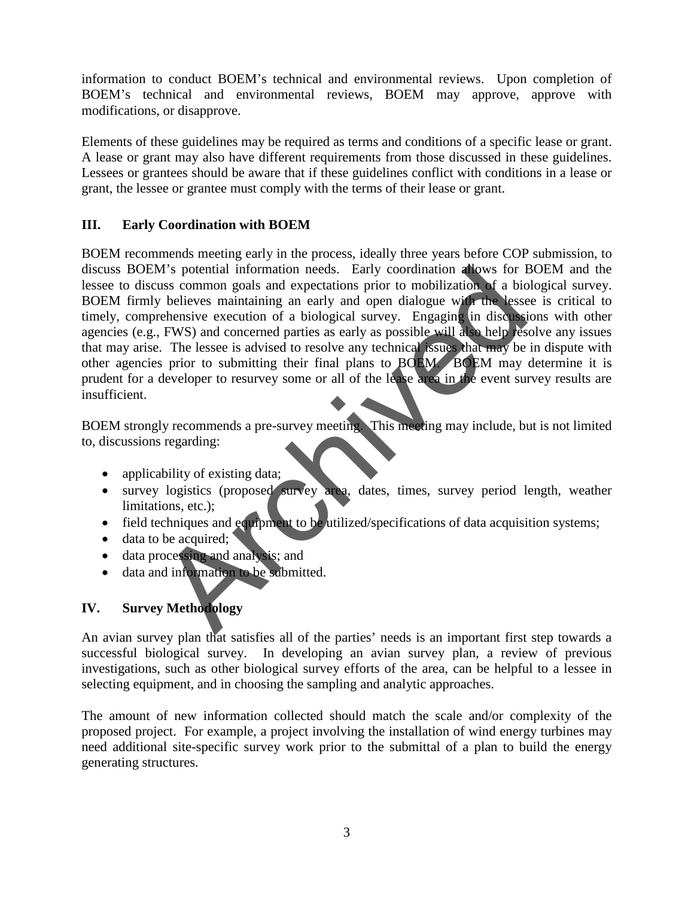information to conduct BOEM's technical and environmental reviews. Upon completion of BOEM's technical and environmental reviews, BOEM may approve, approve with modifications, or disapprove.

Elements of these guidelines may be required as terms and conditions of a specific lease or grant. A lease or grant may also have different requirements from those discussed in these guidelines. Lessees or grantees should be aware that if these guidelines conflict with conditions in a lease or grant, the lessee or grantee must comply with the terms of their lease or grant.

# **III. Early Coordination with BOEM**

BOEM recommends meeting early in the process, ideally three years before COP submission, to discuss BOEM's potential information needs. Early coordination allows for BOEM and the lessee to discuss common goals and expectations prior to mobilization of a biological survey. BOEM firmly believes maintaining an early and open dialogue with the lessee is critical to timely, comprehensive execution of a biological survey. Engaging in discussions with other agencies (e.g., FWS) and concerned parties as early as possible will also help resolve any issues that may arise. The lessee is advised to resolve any technical issues that may be in dispute with other agencies prior to submitting their final plans to BOEM. BOEM may determine it is prudent for a developer to resurvey some or all of the lease area in the event survey results are insufficient. M's potential information needs. Early coordination allows for H<br>
us common goals and expectations prior to mobilization of a biological<br>
y believes maintaining an early and open dialogue width a biological<br>
crehensive exe

BOEM strongly recommends a pre-survey meeting. This meeting may include, but is not limited to, discussions regarding:

- applicability of existing data;
- survey logistics (proposed survey area, dates, times, survey period length, weather limitations, etc.);
- field techniques and equipment to be utilized/specifications of data acquisition systems;
- $\bullet$  data to be acquired;
- data processing and analysis; and
- data and information to be submitted.

# **IV. Survey Methodology**

An avian survey plan that satisfies all of the parties' needs is an important first step towards a successful biological survey. In developing an avian survey plan, a review of previous investigations, such as other biological survey efforts of the area, can be helpful to a lessee in selecting equipment, and in choosing the sampling and analytic approaches.

The amount of new information collected should match the scale and/or complexity of the proposed project. For example, a project involving the installation of wind energy turbines may need additional site-specific survey work prior to the submittal of a plan to build the energy generating structures.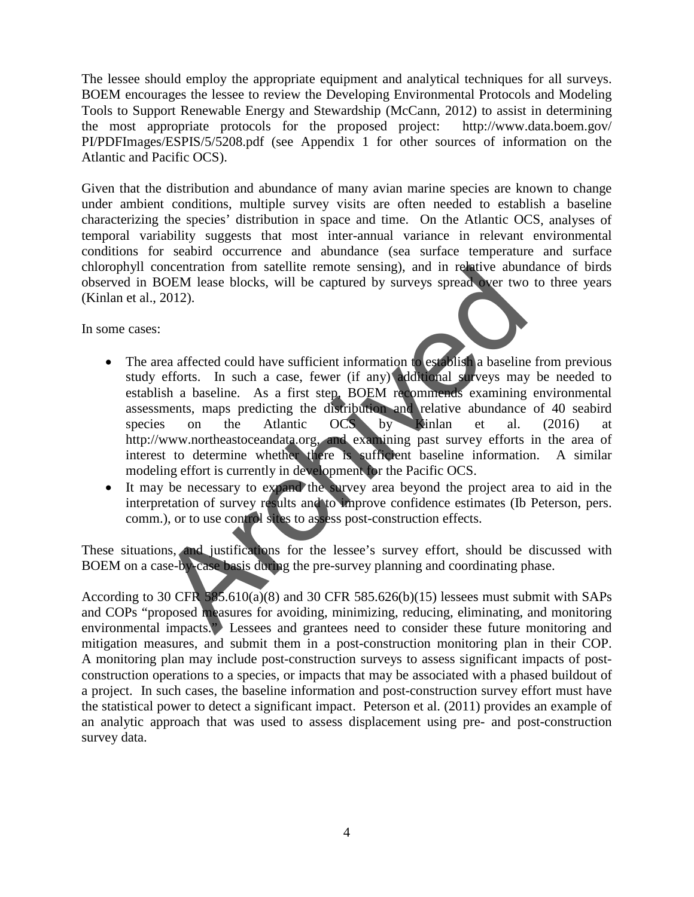The lessee should employ the appropriate equipment and analytical techniques for all surveys. BOEM encourages the lessee to review the Developing Environmental Protocols and Modeling Tools to Support Renewable Energy and Stewardship (McCann, 2012) to assist in determining the most appropriate protocols for the proposed project: http://www.data.boem.gov/ PI/PDFImages/ESPIS/5/5208.pdf (see Appendix 1 for other sources of information on the Atlantic and Pacific OCS).

Given that the distribution and abundance of many avian marine species are known to change under ambient conditions, multiple survey visits are often needed to establish a baseline characterizing the species' distribution in space and time. On the Atlantic OCS, analyses of temporal variability suggests that most inter-annual variance in relevant environmental conditions for seabird occurrence and abundance (sea surface temperature and surface chlorophyll concentration from satellite remote sensing), and in relative abundance of birds observed in BOEM lease blocks, will be captured by surveys spread over two to three years (Kinlan et al., 2012).

In some cases:

- The area affected could have sufficient information to establish a baseline from previous study efforts. In such a case, fewer (if any) additional surveys may be needed to establish a baseline. As a first step, BOEM recommends examining environmental assessments, maps predicting the distribution and relative abundance of 40 seabird<br>species on the Atlantic OCS by Kinlan et al. (2016) at species on the Atlantic OCS by Kinlan et al. (2016) at [http://www.northeastoceandata.org,](http://www.northeastoceandata.org/) and examining past survey efforts in the area of interest to determine whether there is sufficient baseline information. A similar modeling effort is currently in development for the Pacific OCS. oncentration from satellite remote sensing), and in relative abund<br>
2012).<br>
The captured by surveys spread were two<br>
2012).<br>
The captured by surveys spread were two<br>
2012).<br>
The captured by surveys spread were two<br>
complem
- It may be necessary to expand the survey area beyond the project area to aid in the interpretation of survey results and to improve confidence estimates (Ib Peterson, pers. comm.), or to use control sites to assess post-construction effects.

These situations, and justifications for the lessee's survey effort, should be discussed with BOEM on a case-by-case basis during the pre-survey planning and coordinating phase.

According to 30 CFR  $585.610(a)(8)$  and 30 CFR  $585.626(b)(15)$  lessees must submit with SAPs and COPs "proposed measures for avoiding, minimizing, reducing, eliminating, and monitoring environmental impacts." Lessees and grantees need to consider these future monitoring and mitigation measures, and submit them in a post-construction monitoring plan in their COP. A monitoring plan may include post-construction surveys to assess significant impacts of postconstruction operations to a species, or impacts that may be associated with a phased buildout of a project. In such cases, the baseline information and post-construction survey effort must have the statistical power to detect a significant impact. Peterson et al. (2011) provides an example of an analytic approach that was used to assess displacement using pre- and post-construction survey data.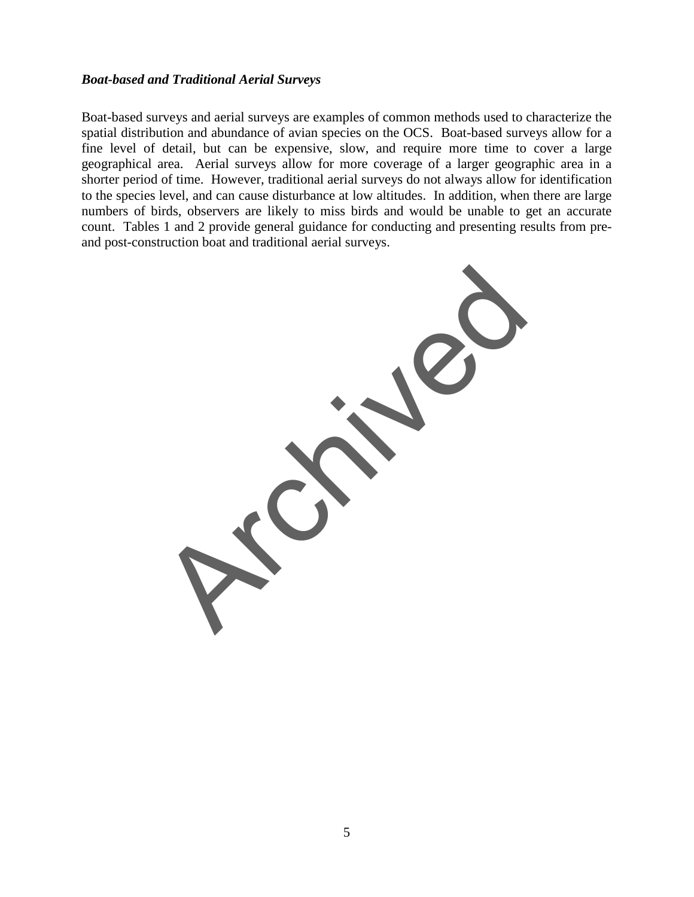#### *Boat-based and Traditional Aerial Surveys*

Boat-based surveys and aerial surveys are examples of common methods used to characterize the spatial distribution and abundance of avian species on the OCS. Boat-based surveys allow for a fine level of detail, but can be expensive, slow, and require more time to cover a large geographical area. Aerial surveys allow for more coverage of a larger geographic area in a shorter period of time. However, traditional aerial surveys do not always allow for identification to the species level, and can cause disturbance at low altitudes. In addition, when there are large numbers of birds, observers are likely to miss birds and would be unable to get an accurate count. Tables 1 and 2 provide general guidance for conducting and presenting results from preand post-construction boat and traditional aerial surveys.

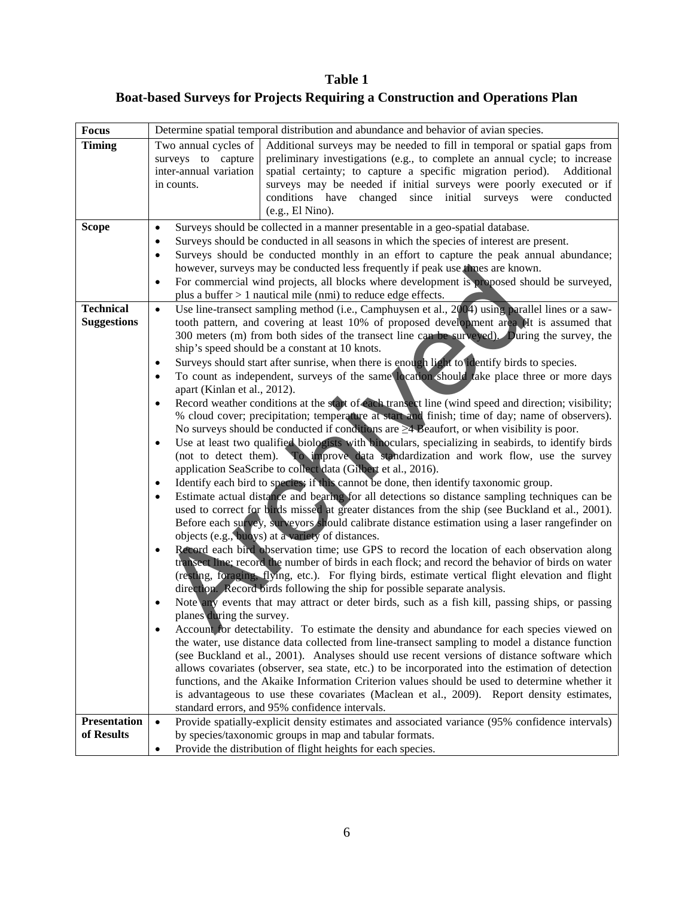**Table 1 Boat-based Surveys for Projects Requiring a Construction and Operations Plan**

| <b>Focus</b>                      | Determine spatial temporal distribution and abundance and behavior of avian species.                                                                                                                                                                                                                                                                                                                                                                                                                                                                                                                                                                                                                                                                                                                                                                                                                                                                                                                                                                                                                                                                                                                                                                                                                                                                                                                                                                                                                                                                                                                                                                                                                                                                                                                                                                                                                                                                                                                                                                                                                                                                                                                                                                                                                                                                                                                                                                                                                                                                                                                                                                                                                                                                                                          |  |
|-----------------------------------|-----------------------------------------------------------------------------------------------------------------------------------------------------------------------------------------------------------------------------------------------------------------------------------------------------------------------------------------------------------------------------------------------------------------------------------------------------------------------------------------------------------------------------------------------------------------------------------------------------------------------------------------------------------------------------------------------------------------------------------------------------------------------------------------------------------------------------------------------------------------------------------------------------------------------------------------------------------------------------------------------------------------------------------------------------------------------------------------------------------------------------------------------------------------------------------------------------------------------------------------------------------------------------------------------------------------------------------------------------------------------------------------------------------------------------------------------------------------------------------------------------------------------------------------------------------------------------------------------------------------------------------------------------------------------------------------------------------------------------------------------------------------------------------------------------------------------------------------------------------------------------------------------------------------------------------------------------------------------------------------------------------------------------------------------------------------------------------------------------------------------------------------------------------------------------------------------------------------------------------------------------------------------------------------------------------------------------------------------------------------------------------------------------------------------------------------------------------------------------------------------------------------------------------------------------------------------------------------------------------------------------------------------------------------------------------------------------------------------------------------------------------------------------------------------|--|
| <b>Timing</b>                     | Two annual cycles of<br>Additional surveys may be needed to fill in temporal or spatial gaps from<br>preliminary investigations (e.g., to complete an annual cycle; to increase<br>surveys to capture<br>spatial certainty; to capture a specific migration period). Additional<br>inter-annual variation<br>surveys may be needed if initial surveys were poorly executed or if<br>in counts.<br>conditions have changed since initial surveys were<br>conducted<br>(e.g., El Nino).                                                                                                                                                                                                                                                                                                                                                                                                                                                                                                                                                                                                                                                                                                                                                                                                                                                                                                                                                                                                                                                                                                                                                                                                                                                                                                                                                                                                                                                                                                                                                                                                                                                                                                                                                                                                                                                                                                                                                                                                                                                                                                                                                                                                                                                                                                         |  |
| <b>Scope</b><br><b>Technical</b>  | Surveys should be collected in a manner presentable in a geo-spatial database.<br>$\bullet$<br>Surveys should be conducted in all seasons in which the species of interest are present.<br>$\bullet$<br>Surveys should be conducted monthly in an effort to capture the peak annual abundance;<br>$\bullet$<br>however, surveys may be conducted less frequently if peak use times are known.<br>For commercial wind projects, all blocks where development is proposed should be surveyed,<br>$\bullet$<br>plus a buffer $> 1$ nautical mile (nmi) to reduce edge effects.<br>$\bullet$                                                                                                                                                                                                                                                                                                                                                                                                                                                                                                                                                                                                                                                                                                                                                                                                                                                                                                                                                                                                                                                                                                                                                                                                                                                                                                                                                                                                                                                                                                                                                                                                                                                                                                                                                                                                                                                                                                                                                                                                                                                                                                                                                                                                      |  |
| <b>Suggestions</b>                | Use line-transect sampling method (i.e., Camphuysen et al., 2004) using parallel lines or a saw-<br>tooth pattern, and covering at least 10% of proposed development area (It is assumed that<br>300 meters (m) from both sides of the transect line can be surveyed). During the survey, the<br>ship's speed should be a constant at 10 knots.<br>Surveys should start after sunrise, when there is enough light to identify birds to species.<br>To count as independent, surveys of the same location should take place three or more days<br>apart (Kinlan et al., 2012).<br>Record weather conditions at the start of each transect line (wind speed and direction; visibility;<br>% cloud cover; precipitation; temperature at start and finish; time of day; name of observers).<br>No surveys should be conducted if conditions are $\geq 4$ Beaufort, or when visibility is poor.<br>Use at least two qualified biologists with binoculars, specializing in seabirds, to identify birds<br>(not to detect them). To improve data standardization and work flow, use the survey<br>application SeaScribe to collect data (Gilbert et al., 2016).<br>Identify each bird to species; if this cannot be done, then identify taxonomic group.<br>Estimate actual distance and bearing for all detections so distance sampling techniques can be<br>used to correct for birds missed at greater distances from the ship (see Buckland et al., 2001).<br>Before each survey, surveyors should calibrate distance estimation using a laser rangefinder on<br>objects (e.g., buoys) at a variety of distances.<br>Record each bird observation time; use GPS to record the location of each observation along<br>transect line; record the number of birds in each flock; and record the behavior of birds on water<br>(resting, foraging, flying, etc.). For flying birds, estimate vertical flight elevation and flight<br>direction. Record birds following the ship for possible separate analysis.<br>Note any events that may attract or deter birds, such as a fish kill, passing ships, or passing<br>planes during the survey.<br>Account for detectability. To estimate the density and abundance for each species viewed on<br>the water, use distance data collected from line-transect sampling to model a distance function<br>(see Buckland et al., 2001). Analyses should use recent versions of distance software which<br>allows covariates (observer, sea state, etc.) to be incorporated into the estimation of detection<br>functions, and the Akaike Information Criterion values should be used to determine whether it<br>is advantageous to use these covariates (Maclean et al., 2009). Report density estimates,<br>standard errors, and 95% confidence intervals. |  |
| <b>Presentation</b><br>of Results | Provide spatially-explicit density estimates and associated variance (95% confidence intervals)<br>$\bullet$<br>by species/taxonomic groups in map and tabular formats.<br>Provide the distribution of flight heights for each species.<br>$\bullet$                                                                                                                                                                                                                                                                                                                                                                                                                                                                                                                                                                                                                                                                                                                                                                                                                                                                                                                                                                                                                                                                                                                                                                                                                                                                                                                                                                                                                                                                                                                                                                                                                                                                                                                                                                                                                                                                                                                                                                                                                                                                                                                                                                                                                                                                                                                                                                                                                                                                                                                                          |  |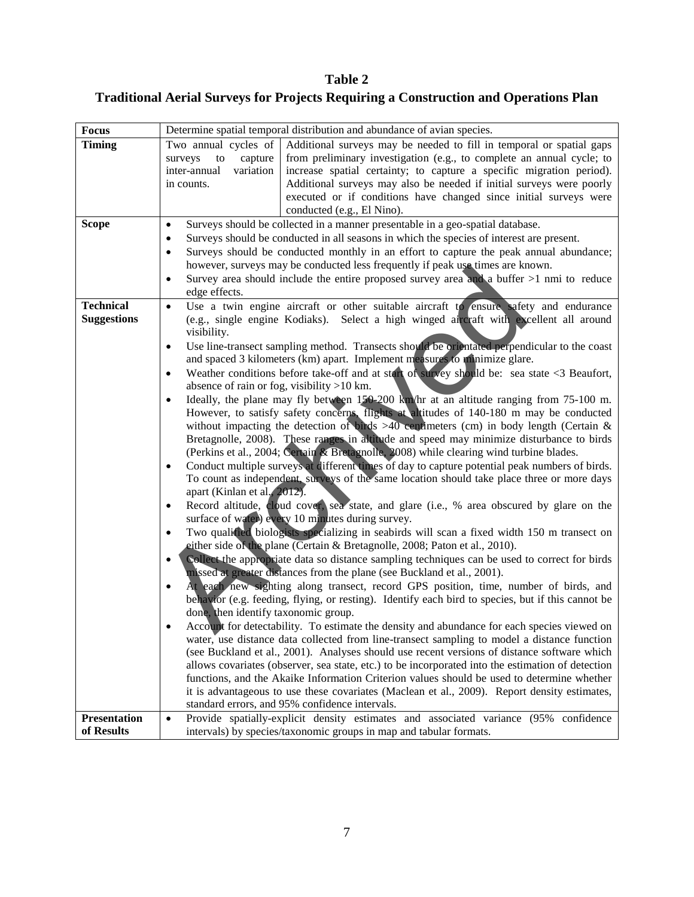**Table 2 Traditional Aerial Surveys for Projects Requiring a Construction and Operations Plan**

| <b>Focus</b>                           | Determine spatial temporal distribution and abundance of avian species.                                                                                                                                                                                                                                                                                                                                                                                                                                                                                                                                                                                                                                                                                                                                                                                                                                                                                                                                                                                                                                                                                                                                                                                                                                                                                                                                                                                                                                                                                                                                                                                                                                                                                                                                                                                                                                                                                                                                                                                                                                                                                                                                                                                                                                                                                                                                                                                                                                                                                                                                                                                                                                                          |
|----------------------------------------|----------------------------------------------------------------------------------------------------------------------------------------------------------------------------------------------------------------------------------------------------------------------------------------------------------------------------------------------------------------------------------------------------------------------------------------------------------------------------------------------------------------------------------------------------------------------------------------------------------------------------------------------------------------------------------------------------------------------------------------------------------------------------------------------------------------------------------------------------------------------------------------------------------------------------------------------------------------------------------------------------------------------------------------------------------------------------------------------------------------------------------------------------------------------------------------------------------------------------------------------------------------------------------------------------------------------------------------------------------------------------------------------------------------------------------------------------------------------------------------------------------------------------------------------------------------------------------------------------------------------------------------------------------------------------------------------------------------------------------------------------------------------------------------------------------------------------------------------------------------------------------------------------------------------------------------------------------------------------------------------------------------------------------------------------------------------------------------------------------------------------------------------------------------------------------------------------------------------------------------------------------------------------------------------------------------------------------------------------------------------------------------------------------------------------------------------------------------------------------------------------------------------------------------------------------------------------------------------------------------------------------------------------------------------------------------------------------------------------------|
| <b>Timing</b>                          | Two annual cycles of<br>Additional surveys may be needed to fill in temporal or spatial gaps<br>from preliminary investigation (e.g., to complete an annual cycle; to<br>capture<br>surveys<br>to<br>increase spatial certainty; to capture a specific migration period).<br>variation<br>inter-annual<br>Additional surveys may also be needed if initial surveys were poorly<br>in counts.<br>executed or if conditions have changed since initial surveys were<br>conducted (e.g., El Nino).                                                                                                                                                                                                                                                                                                                                                                                                                                                                                                                                                                                                                                                                                                                                                                                                                                                                                                                                                                                                                                                                                                                                                                                                                                                                                                                                                                                                                                                                                                                                                                                                                                                                                                                                                                                                                                                                                                                                                                                                                                                                                                                                                                                                                                  |
| <b>Scope</b>                           | Surveys should be collected in a manner presentable in a geo-spatial database.<br>$\bullet$<br>Surveys should be conducted in all seasons in which the species of interest are present.<br>$\bullet$<br>Surveys should be conducted monthly in an effort to capture the peak annual abundance;<br>$\bullet$<br>however, surveys may be conducted less frequently if peak use times are known.<br>Survey area should include the entire proposed survey area and a buffer $>1$ nmi to reduce<br>$\bullet$<br>edge effects.                                                                                                                                                                                                                                                                                                                                                                                                                                                                                                                                                                                                                                                                                                                                                                                                                                                                                                                                                                                                                                                                                                                                                                                                                                                                                                                                                                                                                                                                                                                                                                                                                                                                                                                                                                                                                                                                                                                                                                                                                                                                                                                                                                                                        |
| <b>Technical</b><br><b>Suggestions</b> | Use a twin engine aircraft or other suitable aircraft to ensure safety and endurance<br>$\bullet$<br>(e.g., single engine Kodiaks). Select a high winged aircraft with excellent all around<br>visibility.<br>Use line-transect sampling method. Transects should be orientated perpendicular to the coast<br>$\bullet$<br>and spaced 3 kilometers (km) apart. Implement measures to minimize glare.<br>Weather conditions before take-off and at start of survey should be: sea state <3 Beaufort,<br>$\bullet$<br>absence of rain or fog, visibility $>10$ km.<br>Ideally, the plane may fly between 150-200 km/hr at an altitude ranging from 75-100 m.<br>$\bullet$<br>However, to satisfy safety concerns, flights at altitudes of 140-180 m may be conducted<br>without impacting the detection of birds $>40$ centimeters (cm) in body length (Certain &<br>Bretagnolle, 2008). These ranges in altitude and speed may minimize disturbance to birds<br>(Perkins et al., 2004; Certain & Bretagnolle, 2008) while clearing wind turbine blades.<br>Conduct multiple surveys at different times of day to capture potential peak numbers of birds.<br>$\bullet$<br>To count as independent, surveys of the same location should take place three or more days<br>apart (Kinlan et al., 2012).<br>Record altitude, cloud cover, sea state, and glare (i.e., % area obscured by glare on the<br>$\bullet$<br>surface of water) every 10 minutes during survey.<br>Two qualitied biologists specializing in seabirds will scan a fixed width 150 m transect on<br>$\bullet$<br>either side of the plane (Certain & Bretagnolle, 2008; Paton et al., 2010).<br>Collect the appropriate data so distance sampling techniques can be used to correct for birds<br>missed at greater distances from the plane (see Buckland et al., 2001).<br>At each new sighting along transect, record GPS position, time, number of birds, and<br>behavior (e.g. feeding, flying, or resting). Identify each bird to species, but if this cannot be<br>done, then identify taxonomic group.<br>Account for detectability. To estimate the density and abundance for each species viewed on<br>water, use distance data collected from line-transect sampling to model a distance function<br>(see Buckland et al., 2001). Analyses should use recent versions of distance software which<br>allows covariates (observer, sea state, etc.) to be incorporated into the estimation of detection<br>functions, and the Akaike Information Criterion values should be used to determine whether<br>it is advantageous to use these covariates (Maclean et al., 2009). Report density estimates,<br>standard errors, and 95% confidence intervals. |
| <b>Presentation</b>                    | Provide spatially-explicit density estimates and associated variance (95% confidence<br>$\bullet$                                                                                                                                                                                                                                                                                                                                                                                                                                                                                                                                                                                                                                                                                                                                                                                                                                                                                                                                                                                                                                                                                                                                                                                                                                                                                                                                                                                                                                                                                                                                                                                                                                                                                                                                                                                                                                                                                                                                                                                                                                                                                                                                                                                                                                                                                                                                                                                                                                                                                                                                                                                                                                |
| of Results                             | intervals) by species/taxonomic groups in map and tabular formats.                                                                                                                                                                                                                                                                                                                                                                                                                                                                                                                                                                                                                                                                                                                                                                                                                                                                                                                                                                                                                                                                                                                                                                                                                                                                                                                                                                                                                                                                                                                                                                                                                                                                                                                                                                                                                                                                                                                                                                                                                                                                                                                                                                                                                                                                                                                                                                                                                                                                                                                                                                                                                                                               |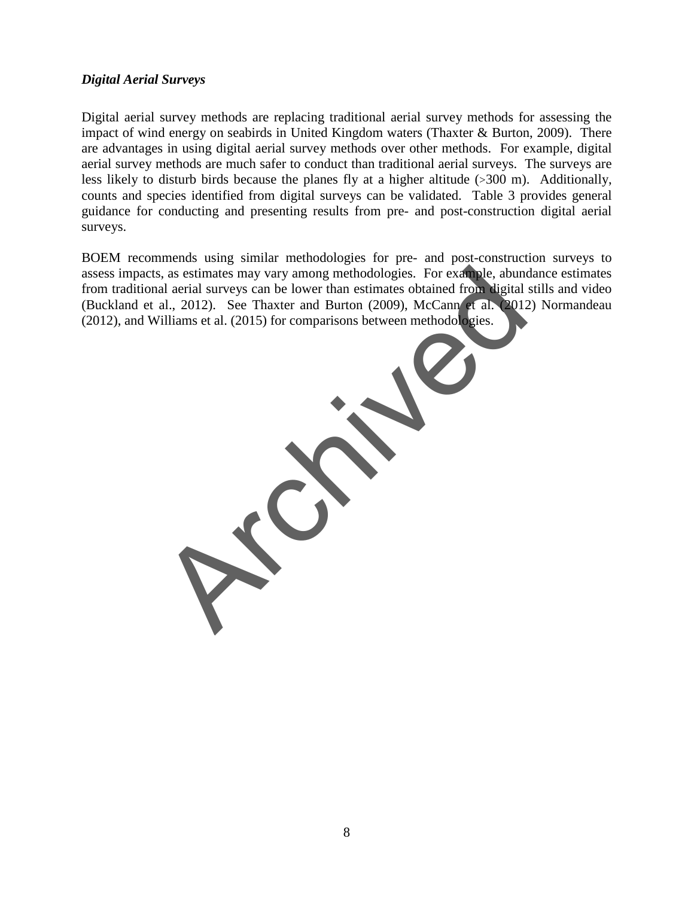## *Digital Aerial Surveys*

Digital aerial survey methods are replacing traditional aerial survey methods for assessing the impact of wind energy on seabirds in United Kingdom waters (Thaxter & Burton, 2009). There are advantages in using digital aerial survey methods over other methods. For example, digital aerial survey methods are much safer to conduct than traditional aerial surveys. The surveys are less likely to disturb birds because the planes fly at a higher altitude (>300 m). Additionally, counts and species identified from digital surveys can be validated. Table 3 provides general guidance for conducting and presenting results from pre- and post-construction digital aerial surveys.

BOEM recommends using similar methodologies for pre- and post-construction surveys to assess impacts, as estimates may vary among methodologies. For example, abundance estimates from traditional aerial surveys can be lower than estimates obtained from digital stills and video (Buckland et al., 2012). See Thaxter and Burton (2009), McCann et al. (2012) Normandeau (2012), and Williams et al. (2015) for comparisons between methodologies.

s, as estimates may vary among methodologies. For example, abund<br>al aerial surveys can be lower than estimates obtained from higital<br>al., 2012). See Thaxter and Burton (2009), McCann et al. 2012<br>filliams et al. (2015) for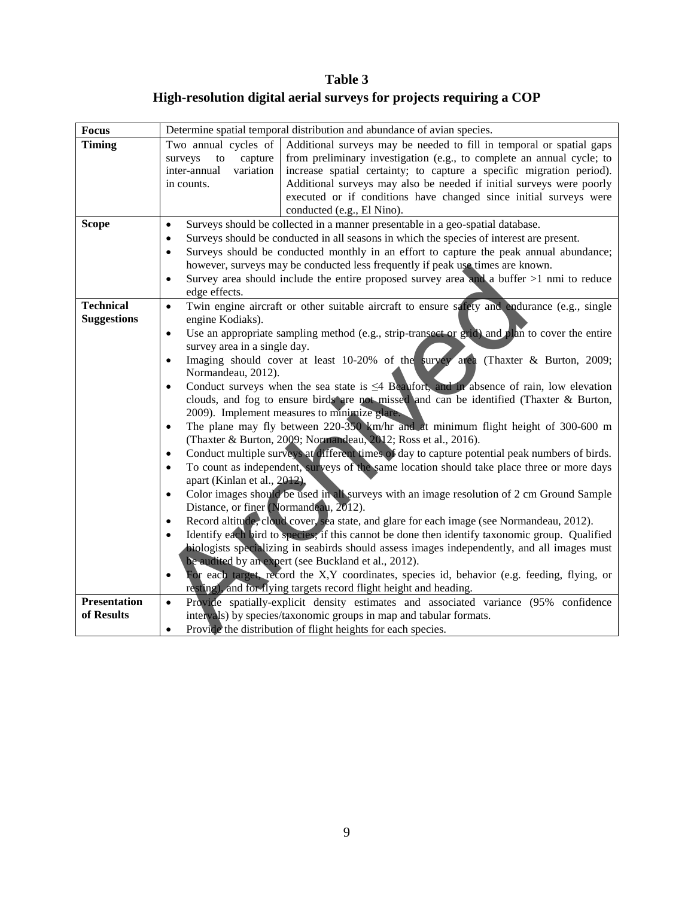**Table 3 High-resolution digital aerial surveys for projects requiring a COP**

| <b>Focus</b>                           | Determine spatial temporal distribution and abundance of avian species.                                                                                                                                                                                                                                                                                                                                                                                                                                                                                                                                                                                                                                                                                                                                                                                                                                                                                                                                                                                                                                                                                                                                                                                                                                                                                                                                                                                                                                                                                                                                                                                                                                                                                                                                    |  |
|----------------------------------------|------------------------------------------------------------------------------------------------------------------------------------------------------------------------------------------------------------------------------------------------------------------------------------------------------------------------------------------------------------------------------------------------------------------------------------------------------------------------------------------------------------------------------------------------------------------------------------------------------------------------------------------------------------------------------------------------------------------------------------------------------------------------------------------------------------------------------------------------------------------------------------------------------------------------------------------------------------------------------------------------------------------------------------------------------------------------------------------------------------------------------------------------------------------------------------------------------------------------------------------------------------------------------------------------------------------------------------------------------------------------------------------------------------------------------------------------------------------------------------------------------------------------------------------------------------------------------------------------------------------------------------------------------------------------------------------------------------------------------------------------------------------------------------------------------------|--|
| <b>Timing</b>                          | Additional surveys may be needed to fill in temporal or spatial gaps<br>Two annual cycles of<br>from preliminary investigation (e.g., to complete an annual cycle; to<br>surveys<br>capture<br>to<br>variation<br>increase spatial certainty; to capture a specific migration period).<br>inter-annual<br>Additional surveys may also be needed if initial surveys were poorly<br>in counts.<br>executed or if conditions have changed since initial surveys were<br>conducted (e.g., El Nino).                                                                                                                                                                                                                                                                                                                                                                                                                                                                                                                                                                                                                                                                                                                                                                                                                                                                                                                                                                                                                                                                                                                                                                                                                                                                                                            |  |
| <b>Scope</b>                           | Surveys should be collected in a manner presentable in a geo-spatial database.<br>$\bullet$<br>Surveys should be conducted in all seasons in which the species of interest are present.<br>$\bullet$<br>Surveys should be conducted monthly in an effort to capture the peak annual abundance;<br>$\bullet$<br>however, surveys may be conducted less frequently if peak use times are known.<br>Survey area should include the entire proposed survey area and a buffer $>1$ nmi to reduce<br>$\bullet$                                                                                                                                                                                                                                                                                                                                                                                                                                                                                                                                                                                                                                                                                                                                                                                                                                                                                                                                                                                                                                                                                                                                                                                                                                                                                                   |  |
| <b>Technical</b><br><b>Suggestions</b> | edge effects.<br>Twin engine aircraft or other suitable aircraft to ensure safety and endurance (e.g., single<br>$\bullet$<br>engine Kodiaks).<br>Use an appropriate sampling method (e.g., strip-transect or grid) and plan to cover the entire<br>$\bullet$<br>survey area in a single day.<br>Imaging should cover at least 10-20% of the survey area (Thaxter & Burton, 2009;<br>$\bullet$<br>Normandeau, 2012).<br>Conduct surveys when the sea state is $\leq 4$ Beaufort, and in absence of rain, low elevation<br>$\bullet$<br>clouds, and fog to ensure birds are not missed and can be identified (Thaxter & Burton,<br>2009). Implement measures to minimize glare.<br>The plane may fly between $220-350$ km/hr and at minimum flight height of 300-600 m<br>$\bullet$<br>(Thaxter & Burton, 2009; Normandeau, 2012; Ross et al., 2016).<br>Conduct multiple surveys at different times of day to capture potential peak numbers of birds.<br>To count as independent, surveys of the same location should take place three or more days<br>$\bullet$<br>apart (Kinlan et al., 2012).<br>Color images should be used in all surveys with an image resolution of 2 cm Ground Sample<br>Distance, or finer (Normandeau, 2012).<br>Record altitude, cloud cover, sea state, and glare for each image (see Normandeau, 2012).<br>$\bullet$<br>Identify each bird to species, if this cannot be done then identify taxonomic group. Qualified<br>$\bullet$<br>biologists specializing in seabirds should assess images independently, and all images must<br>be audited by an expert (see Buckland et al., 2012).<br>For each target, record the X,Y coordinates, species id, behavior (e.g. feeding, flying, or<br>$\bullet$<br>resting), and for flying targets record flight height and heading. |  |
| <b>Presentation</b><br>of Results      | Provide spatially-explicit density estimates and associated variance (95% confidence<br>$\bullet$<br>intervals) by species/taxonomic groups in map and tabular formats.<br>Provide the distribution of flight heights for each species.<br>$\bullet$                                                                                                                                                                                                                                                                                                                                                                                                                                                                                                                                                                                                                                                                                                                                                                                                                                                                                                                                                                                                                                                                                                                                                                                                                                                                                                                                                                                                                                                                                                                                                       |  |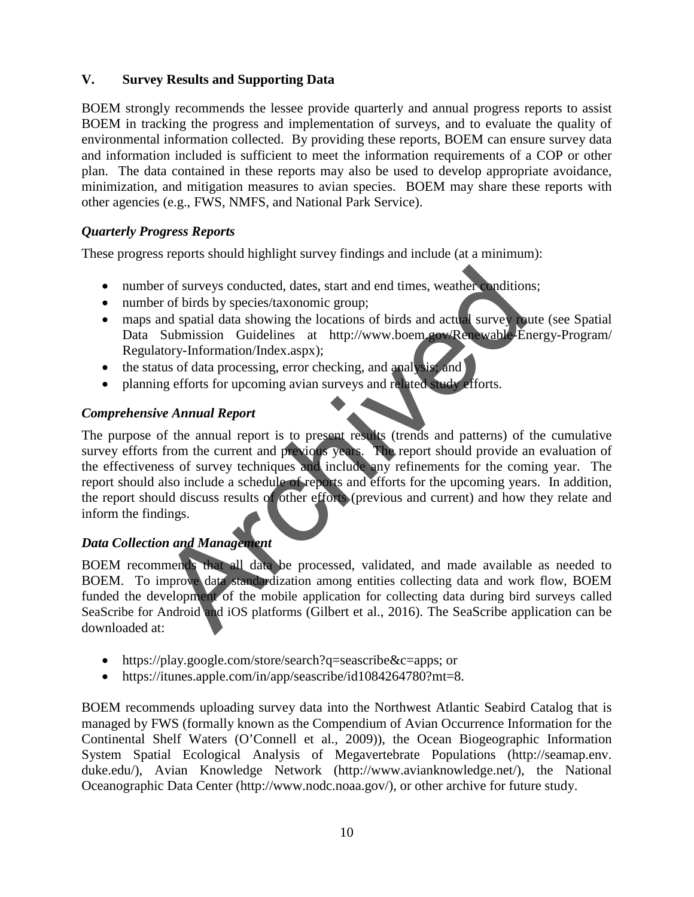# **V. Survey Results and Supporting Data**

BOEM strongly recommends the lessee provide quarterly and annual progress reports to assist BOEM in tracking the progress and implementation of surveys, and to evaluate the quality of environmental information collected. By providing these reports, BOEM can ensure survey data and information included is sufficient to meet the information requirements of a COP or other plan. The data contained in these reports may also be used to develop appropriate avoidance, minimization, and mitigation measures to avian species. BOEM may share these reports with other agencies (e.g., FWS, NMFS, and National Park Service).

# *Quarterly Progress Reports*

These progress reports should highlight survey findings and include (at a minimum):

- number of surveys conducted, dates, start and end times, weather conditions;
- number of birds by species/taxonomic group;
- maps and spatial data showing the locations of birds and actual survey route (see Spatial Data Submission Guidelines at [http://www.boem.gov/Renewable-Energy-Program/](http://www.boem.gov/Renewable-Energy-Program/Regulatory-Information/Index.aspx) [Regulatory-Information/Index.aspx\)](http://www.boem.gov/Renewable-Energy-Program/Regulatory-Information/Index.aspx);
- the status of data processing, error checking, and analysis; and
- planning efforts for upcoming avian surveys and related study efforts.

# *Comprehensive Annual Report*

The purpose of the annual report is to present results (trends and patterns) of the cumulative survey efforts from the current and previous years. The report should provide an evaluation of the effectiveness of survey techniques and include any refinements for the coming year. The report should also include a schedule of reports and efforts for the upcoming years. In addition, the report should discuss results of other efforts (previous and current) and how they relate and inform the findings. er of surveys conducted, dates, start and end times, weather ondition<br>
archived by species/taxonomic group;<br>
and spatial data showing the locations of birds and actual survey<br>
Submission Guidelines at http://www.boem.cov/R

# *Data Collection and Management*

BOEM recommends that all data be processed, validated, and made available as needed to BOEM. To improve data standardization among entities collecting data and work flow, BOEM funded the development of the mobile application for collecting data during bird surveys called SeaScribe for Android and iOS platforms (Gilbert et al., 2016). The SeaScribe application can be downloaded at:

- [https://play.google.com/store/search?q=seascribe&c=apps;](https://play.google.com/store/search?q=seascribe&c=apps) or
- https://itunes.apple.com/in/app/seascribe/id1084264780?mt=8.

BOEM recommends uploading survey data into the Northwest Atlantic Seabird Catalog that is managed by FWS (formally known as the Compendium of Avian Occurrence Information for the Continental Shelf Waters (O'Connell et al., 2009)), the Ocean Biogeographic Information System Spatial Ecological Analysis of Megavertebrate Populations [\(http://seamap.env.](http://seamap.env/) duke.edu/), Avian Knowledge Network (http://www.avianknowledge.net/), the National Oceanographic Data Center (http://www.nodc.noaa.gov/), or other archive for future study.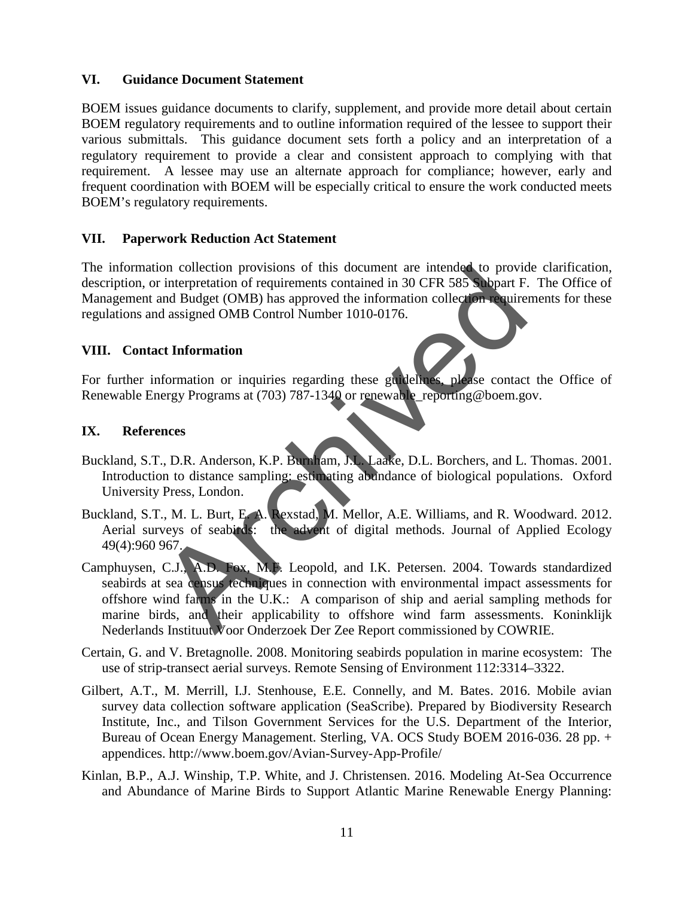### **VI. Guidance Document Statement**

BOEM issues guidance documents to clarify, supplement, and provide more detail about certain BOEM regulatory requirements and to outline information required of the lessee to support their various submittals. This guidance document sets forth a policy and an interpretation of a regulatory requirement to provide a clear and consistent approach to complying with that requirement. A lessee may use an alternate approach for compliance; however, early and frequent coordination with BOEM will be especially critical to ensure the work conducted meets BOEM's regulatory requirements.

### **VII. Paperwork Reduction Act Statement**

The information collection provisions of this document are intended to provide clarification, description, or interpretation of requirements contained in 30 CFR 585 Subpart F. The Office of Management and Budget (OMB) has approved the information collection requirements for these regulations and assigned OMB Control Number 1010-0176.

### **VIII. Contact Information**

For further information or inquiries regarding these guidelines, please contact the Office of Renewable Energy Programs at (703) 787-1340 or renewable\_reporting@boem.gov.

### **IX. References**

- Buckland, S.T., D.R. Anderson, K.P. Burnham, J.L. Laake, D.L. Borchers, and L. Thomas. 2001. Introduction to distance sampling: estimating abundance of biological populations. Oxford University Press, London.
- Buckland, S.T., M. L. Burt, E. A. Rexstad, M. Mellor, A.E. Williams, and R. Woodward. 2012. Aerial surveys of seabirds: the advent of digital methods. Journal of Applied Ecology 49(4):960 967.
- Camphuysen, C.J., A.D. Fox, M.F. Leopold, and I.K. Petersen. 2004. Towards standardized seabirds at sea census techniques in connection with environmental impact assessments for offshore wind farms in the U.K.: A comparison of ship and aerial sampling methods for marine birds, and their applicability to offshore wind farm assessments. Koninklijk Nederlands Instituut Voor Onderzoek Der Zee Report commissioned by COWRIE. For interpretation of requirements contained in 30 CFR 585 Subpart F.<br>
interpretation of requirements contained in 30 CFR 585 Subpart F.<br>
and Budget (OMB) has approved the information collection require<br>
and assigned OMB C
- Certain, G. and V. Bretagnolle. 2008. Monitoring seabirds population in marine ecosystem: The use of strip-transect aerial surveys. Remote Sensing of Environment 112:3314–3322.
- Gilbert, A.T., M. Merrill, I.J. Stenhouse, E.E. Connelly, and M. Bates. 2016. Mobile avian survey data collection software application (SeaScribe). Prepared by Biodiversity Research Institute, Inc., and Tilson Government Services for the U.S. Department of the Interior, Bureau of Ocean Energy Management. Sterling, VA. OCS Study BOEM 2016-036. 28 pp. + appendices. <http://www.boem.gov/Avian-Survey-App-Profile/>
- Kinlan, B.P., A.J. Winship, T.P. White, and J. Christensen. 2016. Modeling At-Sea Occurrence and Abundance of Marine Birds to Support Atlantic Marine Renewable Energy Planning: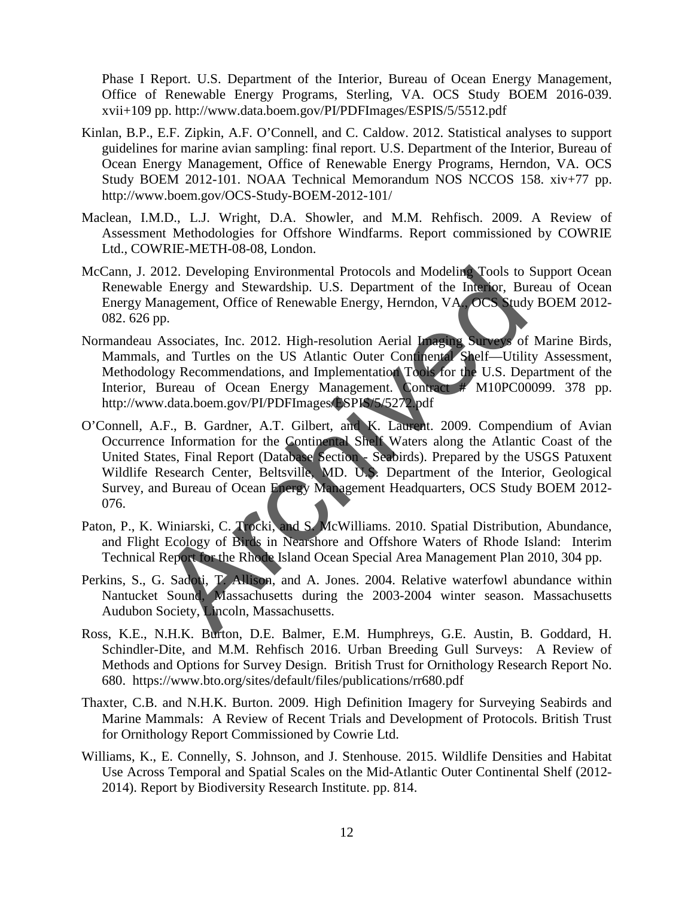Phase I Report. U.S. Department of the Interior, Bureau of Ocean Energy Management, Office of Renewable Energy Programs, Sterling, VA. OCS Study BOEM 2016-039. xvii+109 pp.<http://www.data.boem.gov/PI/PDFImages/ESPIS/5/5512.pdf>

- Kinlan, B.P., E.F. Zipkin, A.F. O'Connell, and C. Caldow. 2012. Statistical analyses to support guidelines for marine avian sampling: final report. U.S. Department of the Interior, Bureau of Ocean Energy Management, Office of Renewable Energy Programs, Herndon, VA. OCS Study BOEM 2012-101. NOAA Technical Memorandum NOS NCCOS 158. xiv+77 pp. <http://www.boem.gov/OCS-Study-BOEM-2012-101/>
- Maclean, I.M.D., L.J. Wright, D.A. Showler, and M.M. Rehfisch. 2009. A Review of Assessment Methodologies for Offshore Windfarms. Report commissioned by COWRIE Ltd., COWRIE-METH-08-08, London.
- McCann, J. 2012. Developing Environmental Protocols and Modeling Tools to Support Ocean Renewable Energy and Stewardship. U.S. Department of the Interior, Bureau of Ocean Energy Management, Office of Renewable Energy, Herndon, VA., OCS Study BOEM 2012- 082. 626 pp.
- Normandeau Associates, Inc. 2012. High-resolution Aerial Imaging Surveys of Marine Birds, Mammals, and Turtles on the US Atlantic Outer Continental Shelf—Utility Assessment, Methodology Recommendations, and Implementation Tools for the U.S. Department of the Interior, Bureau of Ocean Energy Management. Contract # M10PC00099. 378 pp. http://www.data.boem.gov/PI/PDFImages/ESPIS/5/5272.pdf
- O'Connell, A.F., B. Gardner, A.T. Gilbert, and K. Laurent. 2009. Compendium of Avian Occurrence Information for the Continental Shelf Waters along the Atlantic Coast of the United States, Final Report (Database Section - Seabirds). Prepared by the USGS Patuxent Wildlife Research Center, Beltsville, MD. U.S. Department of the Interior, Geological Survey, and Bureau of Ocean Energy Management Headquarters, OCS Study BOEM 2012- 076. 012. Developing Environmental Protocols and Modeling Tools to<br>
e Energy and Stewardship. U.S. Department of the Interior, Bu<br>
anagement, Office of Renewable Energy, Herndon, VA. OCS study<br>
Associates, Inc. 2012. High-resol
- Paton, P., K. Winiarski, C. Trocki, and S. McWilliams. 2010. Spatial Distribution, Abundance, and Flight Ecology of Birds in Nearshore and Offshore Waters of Rhode Island: Interim Technical Report for the Rhode Island Ocean Special Area Management Plan 2010, 304 pp.
- Perkins, S., G. Sadoti, T. Allison, and A. Jones. 2004. Relative waterfowl abundance within Nantucket Sound, Massachusetts during the 2003-2004 winter season. Massachusetts Audubon Society, Lincoln, Massachusetts.
- Ross, K.E., N.H.K. Burton, D.E. Balmer, E.M. Humphreys, G.E. Austin, B. Goddard, H. Schindler-Dite, and M.M. Rehfisch 2016. Urban Breeding Gull Surveys: A Review of Methods and Options for Survey Design. British Trust for Ornithology Research Report No. 680. https://www.bto.org/sites/default/files/publications/rr680.pdf
- Thaxter, C.B. and N.H.K. Burton. 2009. High Definition Imagery for Surveying Seabirds and Marine Mammals: A Review of Recent Trials and Development of Protocols. British Trust for Ornithology Report Commissioned by Cowrie Ltd.
- Williams, K., E. Connelly, S. Johnson, and J. Stenhouse. 2015. Wildlife Densities and Habitat Use Across Temporal and Spatial Scales on the Mid-Atlantic Outer Continental Shelf (2012- 2014). Report by Biodiversity Research Institute. pp. 814.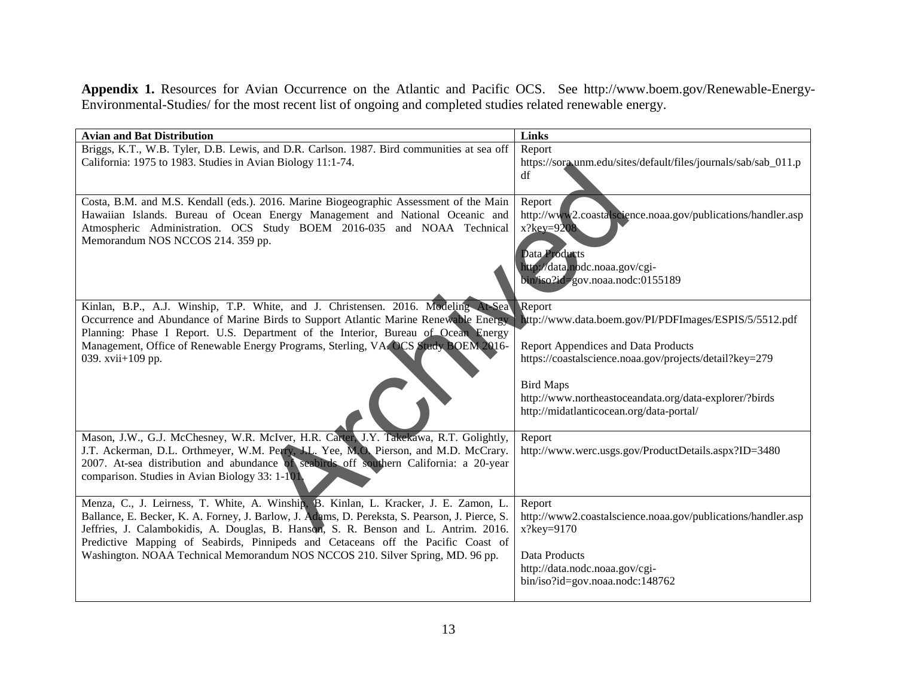**Appendix 1.** Resources for Avian Occurrence on the Atlantic and Pacific OCS. See [http://www.boem.gov/Renewable-Energy-](http://www.boem.gov/Renewable-Energy-Environmental-Studies/)[Environmental-Studies/](http://www.boem.gov/Renewable-Energy-Environmental-Studies/) for the most recent list of ongoing and completed studies related renewable energy.

| <b>Avian and Bat Distribution</b>                                                                         | <b>Links</b>                                                                                   |
|-----------------------------------------------------------------------------------------------------------|------------------------------------------------------------------------------------------------|
| Briggs, K.T., W.B. Tyler, D.B. Lewis, and D.R. Carlson. 1987. Bird communities at sea off                 | Report                                                                                         |
| California: 1975 to 1983. Studies in Avian Biology 11:1-74.                                               | https://sora.unm.edu/sites/default/files/journals/sab/sab_011.p                                |
|                                                                                                           | df                                                                                             |
|                                                                                                           |                                                                                                |
| Costa, B.M. and M.S. Kendall (eds.). 2016. Marine Biogeographic Assessment of the Main                    | Report                                                                                         |
| Hawaiian Islands. Bureau of Ocean Energy Management and National Oceanic and                              | http://www2.coastalscience.noaa.gov/publications/handler.asp                                   |
| Atmospheric Administration. OCS Study BOEM 2016-035 and NOAA Technical                                    | $x?key=9208$                                                                                   |
| Memorandum NOS NCCOS 214. 359 pp.                                                                         |                                                                                                |
|                                                                                                           | Data Products                                                                                  |
|                                                                                                           | http://data.nodc.noaa.gov/cgi-                                                                 |
|                                                                                                           | bin/iso?id=gov.noaa.nodc:0155189                                                               |
|                                                                                                           |                                                                                                |
| Kinlan, B.P., A.J. Winship, T.P. White, and J. Christensen. 2016. Modeling At-Sea                         | Report                                                                                         |
| Occurrence and Abundance of Marine Birds to Support Atlantic Marine Renewable Energy                      | http://www.data.boem.gov/PI/PDFImages/ESPIS/5/5512.pdf                                         |
| Planning: Phase I Report. U.S. Department of the Interior, Bureau of Ocean Energy                         |                                                                                                |
| Management, Office of Renewable Energy Programs, Sterling, VA, OCS Study, BOEM 2016-<br>039. xvii+109 pp. | Report Appendices and Data Products<br>https://coastalscience.noaa.gov/projects/detail?key=279 |
|                                                                                                           |                                                                                                |
|                                                                                                           | <b>Bird Maps</b>                                                                               |
|                                                                                                           | http://www.northeastoceandata.org/data-explorer/?birds                                         |
|                                                                                                           | http://midatlanticocean.org/data-portal/                                                       |
|                                                                                                           |                                                                                                |
| Mason, J.W., G.J. McChesney, W.R. McIver, H.R. Carter, J.Y. Takekawa, R.T. Golightly,                     | Report                                                                                         |
| J.T. Ackerman, D.L. Orthmeyer, W.M. Perry, J.L. Yee, M.O. Pierson, and M.D. McCrary.                      | http://www.werc.usgs.gov/ProductDetails.aspx?ID=3480                                           |
| 2007. At-sea distribution and abundance of seabirds off southern California: a 20-year                    |                                                                                                |
| comparison. Studies in Avian Biology 33: 1-101.                                                           |                                                                                                |
|                                                                                                           |                                                                                                |
| Menza, C., J. Leirness, T. White, A. Winship, B. Kinlan, L. Kracker, J. E. Zamon, L.                      | Report                                                                                         |
| Ballance, E. Becker, K. A. Forney, J. Barlow, J. Adams, D. Pereksta, S. Pearson, J. Pierce, S.            | http://www2.coastalscience.noaa.gov/publications/handler.asp                                   |
| Jeffries, J. Calambokidis, A. Douglas, B. Hanson, S. R. Benson and L. Antrim. 2016.                       | $x?key=9170$                                                                                   |
| Predictive Mapping of Seabirds, Pinnipeds and Cetaceans off the Pacific Coast of                          |                                                                                                |
| Washington. NOAA Technical Memorandum NOS NCCOS 210. Silver Spring, MD. 96 pp.                            | Data Products                                                                                  |
|                                                                                                           | http://data.nodc.noaa.gov/cgi-                                                                 |
|                                                                                                           | bin/iso?id=gov.noaa.nodc:148762                                                                |
|                                                                                                           |                                                                                                |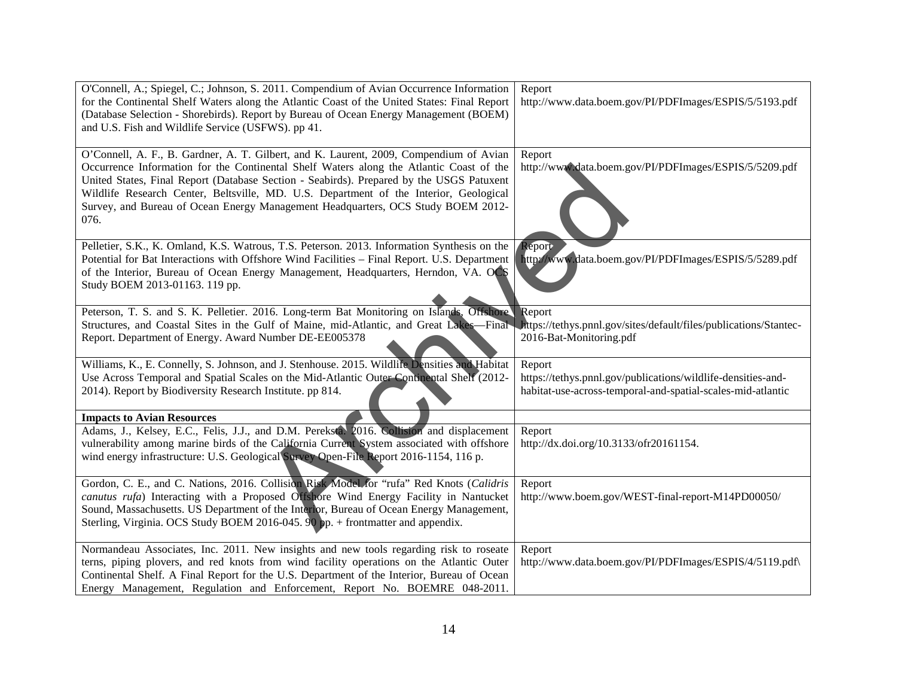| O'Connell, A.; Spiegel, C.; Johnson, S. 2011. Compendium of Avian Occurrence Information      | Report                                                            |
|-----------------------------------------------------------------------------------------------|-------------------------------------------------------------------|
| for the Continental Shelf Waters along the Atlantic Coast of the United States: Final Report  | http://www.data.boem.gov/PI/PDFImages/ESPIS/5/5193.pdf            |
| (Database Selection - Shorebirds). Report by Bureau of Ocean Energy Management (BOEM)         |                                                                   |
| and U.S. Fish and Wildlife Service (USFWS). pp 41.                                            |                                                                   |
|                                                                                               |                                                                   |
| O'Connell, A. F., B. Gardner, A. T. Gilbert, and K. Laurent, 2009, Compendium of Avian        | Report                                                            |
| Occurrence Information for the Continental Shelf Waters along the Atlantic Coast of the       | http://www.data.boem.gov/PI/PDFImages/ESPIS/5/5209.pdf            |
| United States, Final Report (Database Section - Seabirds). Prepared by the USGS Patuxent      |                                                                   |
| Wildlife Research Center, Beltsville, MD. U.S. Department of the Interior, Geological         |                                                                   |
| Survey, and Bureau of Ocean Energy Management Headquarters, OCS Study BOEM 2012-              |                                                                   |
| 076.                                                                                          |                                                                   |
|                                                                                               |                                                                   |
| Pelletier, S.K., K. Omland, K.S. Watrous, T.S. Peterson. 2013. Information Synthesis on the   | Report                                                            |
| Potential for Bat Interactions with Offshore Wind Facilities - Final Report. U.S. Department  | http://www.data.boem.gov/PI/PDFImages/ESPIS/5/5289.pdf            |
| of the Interior, Bureau of Ocean Energy Management, Headquarters, Herndon, VA. OCS            |                                                                   |
| Study BOEM 2013-01163. 119 pp.                                                                |                                                                   |
|                                                                                               |                                                                   |
| Peterson, T. S. and S. K. Pelletier. 2016. Long-term Bat Monitoring on Islands, Offshore      | Report                                                            |
| Structures, and Coastal Sites in the Gulf of Maine, mid-Atlantic, and Great Lakes-Final       | https://tethys.pnnl.gov/sites/default/files/publications/Stantec- |
| Report. Department of Energy. Award Number DE-EE005378                                        | 2016-Bat-Monitoring.pdf                                           |
|                                                                                               |                                                                   |
| Williams, K., E. Connelly, S. Johnson, and J. Stenhouse. 2015. Wildlife Densities and Habitat | Report                                                            |
| Use Across Temporal and Spatial Scales on the Mid-Atlantic Outer Continental Shelf (2012-     | https://tethys.pnnl.gov/publications/wildlife-densities-and-      |
| 2014). Report by Biodiversity Research Institute. pp 814.                                     | habitat-use-across-temporal-and-spatial-scales-mid-atlantic       |
|                                                                                               |                                                                   |
| <b>Impacts to Avian Resources</b>                                                             |                                                                   |
| Adams, J., Kelsey, E.C., Felis, J.J., and D.M. Pereksta. 2016. Collision and displacement     | Report                                                            |
| vulnerability among marine birds of the California Current System associated with offshore    | http://dx.doi.org/10.3133/ofr20161154.                            |
| wind energy infrastructure: U.S. Geological Survey Open-File Report 2016-1154, 116 p.         |                                                                   |
|                                                                                               |                                                                   |
| Gordon, C. E., and C. Nations, 2016. Collision Risk Model for "rufa" Red Knots (Calidris      | Report                                                            |
| canutus rufa) Interacting with a Proposed Offshore Wind Energy Facility in Nantucket          | http://www.boem.gov/WEST-final-report-M14PD00050/                 |
| Sound, Massachusetts. US Department of the Interior, Bureau of Ocean Energy Management,       |                                                                   |
| Sterling, Virginia. OCS Study BOEM 2016-045. 90 pp. + frontmatter and appendix.               |                                                                   |
|                                                                                               |                                                                   |
| Normandeau Associates, Inc. 2011. New insights and new tools regarding risk to roseate        | Report                                                            |
| terns, piping plovers, and red knots from wind facility operations on the Atlantic Outer      | http://www.data.boem.gov/PI/PDFImages/ESPIS/4/5119.pdf\           |
| Continental Shelf. A Final Report for the U.S. Department of the Interior, Bureau of Ocean    |                                                                   |
| Energy Management, Regulation and Enforcement, Report No. BOEMRE 048-2011.                    |                                                                   |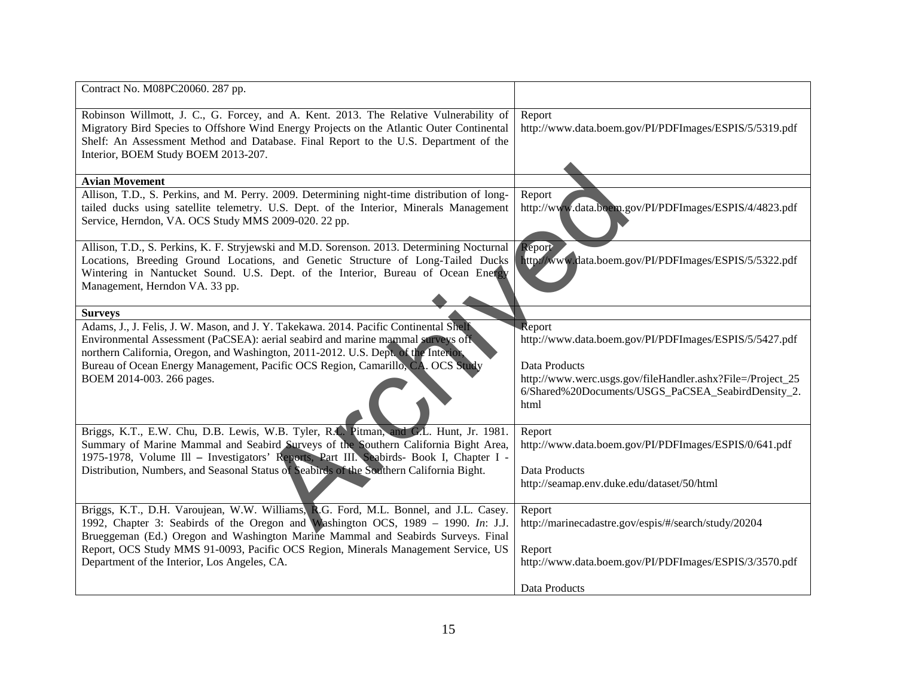| Contract No. M08PC20060. 287 pp.                                                                                                                                                                                                                                                                                                                                               |                                                                                                                                                                                                               |
|--------------------------------------------------------------------------------------------------------------------------------------------------------------------------------------------------------------------------------------------------------------------------------------------------------------------------------------------------------------------------------|---------------------------------------------------------------------------------------------------------------------------------------------------------------------------------------------------------------|
| Robinson Willmott, J. C., G. Forcey, and A. Kent. 2013. The Relative Vulnerability of<br>Migratory Bird Species to Offshore Wind Energy Projects on the Atlantic Outer Continental<br>Shelf: An Assessment Method and Database. Final Report to the U.S. Department of the<br>Interior, BOEM Study BOEM 2013-207.                                                              | Report<br>http://www.data.boem.gov/PI/PDFImages/ESPIS/5/5319.pdf                                                                                                                                              |
| <b>Avian Movement</b>                                                                                                                                                                                                                                                                                                                                                          |                                                                                                                                                                                                               |
| Allison, T.D., S. Perkins, and M. Perry. 2009. Determining night-time distribution of long-<br>tailed ducks using satellite telemetry. U.S. Dept. of the Interior, Minerals Management<br>Service, Herndon, VA. OCS Study MMS 2009-020. 22 pp.                                                                                                                                 | Report<br>http://www.data.boem.gov/PI/PDFImages/ESPIS/4/4823.pdf                                                                                                                                              |
| Allison, T.D., S. Perkins, K. F. Stryjewski and M.D. Sorenson. 2013. Determining Nocturnal<br>Locations, Breeding Ground Locations, and Genetic Structure of Long-Tailed Ducks<br>Wintering in Nantucket Sound. U.S. Dept. of the Interior, Bureau of Ocean Energy<br>Management, Herndon VA. 33 pp.                                                                           | Report<br>http://www.data.boem.gov/PI/PDFImages/ESPIS/5/5322.pdf                                                                                                                                              |
| <b>Surveys</b>                                                                                                                                                                                                                                                                                                                                                                 |                                                                                                                                                                                                               |
| Adams, J., J. Felis, J. W. Mason, and J. Y. Takekawa. 2014. Pacific Continental Shelf<br>Environmental Assessment (PaCSEA): aerial seabird and marine mammal surveys of<br>northern California, Oregon, and Washington, 2011-2012. U.S. Dept. of the Interior,<br>Bureau of Ocean Energy Management, Pacific OCS Region, Camarillo, CA. OCS Study<br>BOEM 2014-003. 266 pages. | Report<br>http://www.data.boem.gov/PI/PDFImages/ESPIS/5/5427.pdf<br>Data Products<br>http://www.werc.usgs.gov/fileHandler.ashx?File=/Project_25<br>6/Shared%20Documents/USGS_PaCSEA_SeabirdDensity_2.<br>html |
| Briggs, K.T., E.W. Chu, D.B. Lewis, W.B. Tyler, R.L. Pitman, and C.L. Hunt, Jr. 1981.                                                                                                                                                                                                                                                                                          | Report                                                                                                                                                                                                        |
| Summary of Marine Mammal and Seabird Surveys of the Southern California Bight Area,<br>1975-1978, Volume III - Investigators' Reports, Part III. Seabirds- Book I, Chapter I -<br>Distribution, Numbers, and Seasonal Status of Seabirds of the Southern California Bight.                                                                                                     | http://www.data.boem.gov/PI/PDFImages/ESPIS/0/641.pdf<br>Data Products<br>http://seamap.env.duke.edu/dataset/50/html                                                                                          |
| Briggs, K.T., D.H. Varoujean, W.W. Williams, R.G. Ford, M.L. Bonnel, and J.L. Casey.                                                                                                                                                                                                                                                                                           | Report                                                                                                                                                                                                        |
| 1992, Chapter 3: Seabirds of the Oregon and Washington OCS, 1989 - 1990. In: J.J.                                                                                                                                                                                                                                                                                              | http://marinecadastre.gov/espis/#/search/study/20204                                                                                                                                                          |
| Brueggeman (Ed.) Oregon and Washington Marine Mammal and Seabirds Surveys. Final                                                                                                                                                                                                                                                                                               |                                                                                                                                                                                                               |
| Report, OCS Study MMS 91-0093, Pacific OCS Region, Minerals Management Service, US<br>Department of the Interior, Los Angeles, CA.                                                                                                                                                                                                                                             | Report<br>http://www.data.boem.gov/PI/PDFImages/ESPIS/3/3570.pdf                                                                                                                                              |
|                                                                                                                                                                                                                                                                                                                                                                                | Data Products                                                                                                                                                                                                 |